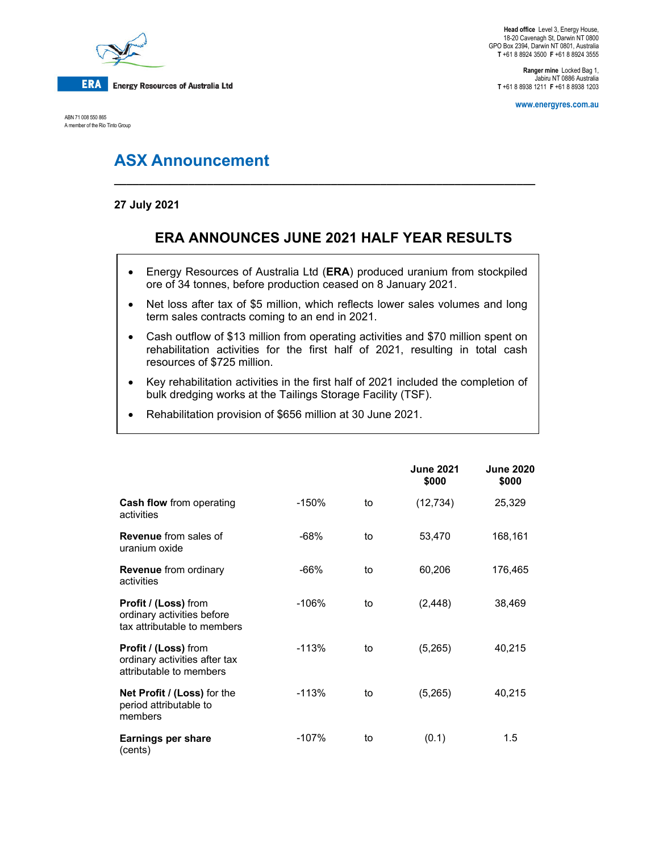

ABN 71 008 550 865 A member of the Rio Tinto Group

**Head office** Level 3, Energy House, 18-20 Cavenagh St, Darwin NT 0800 GPO Box 2394, Darwin NT 0801, Australia **T** +61 8 8924 3500 **F** +61 8 8924 3555

**Ranger mine** Locked Bag 1, Jabiru NT 0886 Australia **T** +61 8 8938 1211 **F** +61 8 8938 1203

**www.energyres.com.au** 

# **ASX Announcement**

### **27 July 2021**

## **ERA ANNOUNCES JUNE 2021 HALF YEAR RESULTS**

**\_\_\_\_\_\_\_\_\_\_\_\_\_\_\_\_\_\_\_\_\_\_\_\_\_\_\_\_\_\_\_\_\_\_\_\_\_\_\_\_\_\_\_\_\_\_\_\_\_\_\_\_\_\_\_\_\_\_\_\_\_\_\_\_\_\_\_\_** 

- Energy Resources of Australia Ltd (**ERA**) produced uranium from stockpiled ore of 34 tonnes, before production ceased on 8 January 2021.
- Net loss after tax of \$5 million, which reflects lower sales volumes and long term sales contracts coming to an end in 2021.
- Cash outflow of \$13 million from operating activities and \$70 million spent on rehabilitation activities for the first half of 2021, resulting in total cash resources of \$725 million.
- Key rehabilitation activities in the first half of 2021 included the completion of bulk dredging works at the Tailings Storage Facility (TSF).
- Rehabilitation provision of \$656 million at 30 June 2021.

|                                                                                   |         |    | <b>June 2021</b><br>\$000 | <b>June 2020</b><br>\$000 |
|-----------------------------------------------------------------------------------|---------|----|---------------------------|---------------------------|
| <b>Cash flow</b> from operating<br>activities                                     | -150%   | to | (12, 734)                 | 25,329                    |
| <b>Revenue</b> from sales of<br>uranium oxide                                     | $-68%$  | to | 53,470                    | 168,161                   |
| <b>Revenue</b> from ordinary<br>activities                                        | $-66%$  | to | 60,206                    | 176,465                   |
| Profit / (Loss) from<br>ordinary activities before<br>tax attributable to members | $-106%$ | to | (2, 448)                  | 38,469                    |
| Profit / (Loss) from<br>ordinary activities after tax<br>attributable to members  | $-113%$ | to | (5,265)                   | 40,215                    |
| Net Profit / (Loss) for the<br>period attributable to<br>members                  | -113%   | to | (5,265)                   | 40,215                    |
| Earnings per share<br>(cents)                                                     | $-107%$ | to | (0.1)                     | 1.5                       |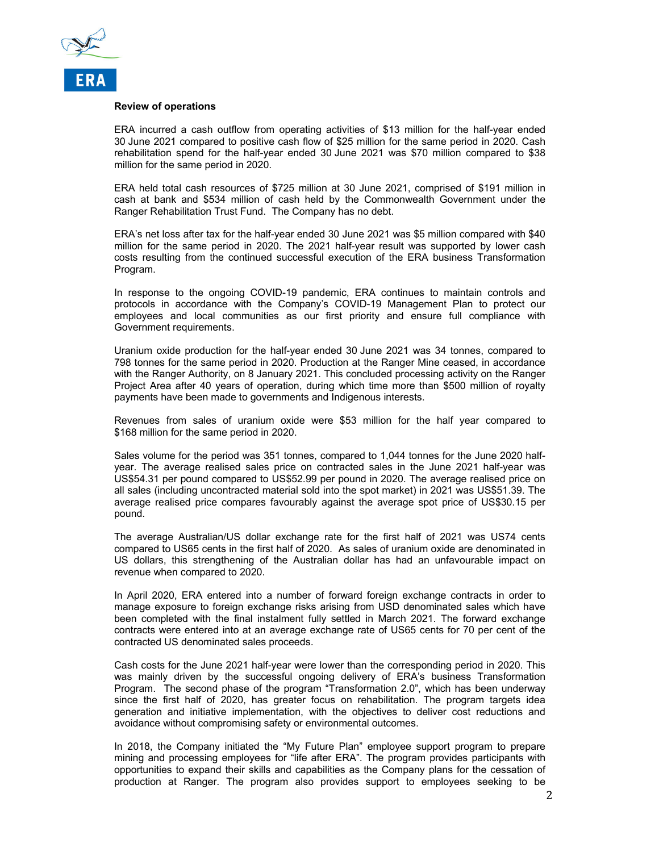

#### **Review of operations**

ERA incurred a cash outflow from operating activities of \$13 million for the half-year ended 30 June 2021 compared to positive cash flow of \$25 million for the same period in 2020. Cash rehabilitation spend for the half-year ended 30 June 2021 was \$70 million compared to \$38 million for the same period in 2020.

ERA held total cash resources of \$725 million at 30 June 2021, comprised of \$191 million in cash at bank and \$534 million of cash held by the Commonwealth Government under the Ranger Rehabilitation Trust Fund. The Company has no debt.

ERA's net loss after tax for the half-year ended 30 June 2021 was \$5 million compared with \$40 million for the same period in 2020. The 2021 half-year result was supported by lower cash costs resulting from the continued successful execution of the ERA business Transformation Program.

In response to the ongoing COVID-19 pandemic, ERA continues to maintain controls and protocols in accordance with the Company's COVID-19 Management Plan to protect our employees and local communities as our first priority and ensure full compliance with Government requirements.

Uranium oxide production for the half-year ended 30 June 2021 was 34 tonnes, compared to 798 tonnes for the same period in 2020. Production at the Ranger Mine ceased, in accordance with the Ranger Authority, on 8 January 2021. This concluded processing activity on the Ranger Project Area after 40 years of operation, during which time more than \$500 million of royalty payments have been made to governments and Indigenous interests.

Revenues from sales of uranium oxide were \$53 million for the half year compared to \$168 million for the same period in 2020.

Sales volume for the period was 351 tonnes, compared to 1,044 tonnes for the June 2020 halfyear. The average realised sales price on contracted sales in the June 2021 half-year was US\$54.31 per pound compared to US\$52.99 per pound in 2020. The average realised price on all sales (including uncontracted material sold into the spot market) in 2021 was US\$51.39. The average realised price compares favourably against the average spot price of US\$30.15 per pound.

The average Australian/US dollar exchange rate for the first half of 2021 was US74 cents compared to US65 cents in the first half of 2020. As sales of uranium oxide are denominated in US dollars, this strengthening of the Australian dollar has had an unfavourable impact on revenue when compared to 2020.

In April 2020, ERA entered into a number of forward foreign exchange contracts in order to manage exposure to foreign exchange risks arising from USD denominated sales which have been completed with the final instalment fully settled in March 2021. The forward exchange contracts were entered into at an average exchange rate of US65 cents for 70 per cent of the contracted US denominated sales proceeds.

Cash costs for the June 2021 half-year were lower than the corresponding period in 2020. This was mainly driven by the successful ongoing delivery of ERA's business Transformation Program. The second phase of the program "Transformation 2.0", which has been underway since the first half of 2020, has greater focus on rehabilitation. The program targets idea generation and initiative implementation, with the objectives to deliver cost reductions and avoidance without compromising safety or environmental outcomes.

In 2018, the Company initiated the "My Future Plan" employee support program to prepare mining and processing employees for "life after ERA". The program provides participants with opportunities to expand their skills and capabilities as the Company plans for the cessation of production at Ranger. The program also provides support to employees seeking to be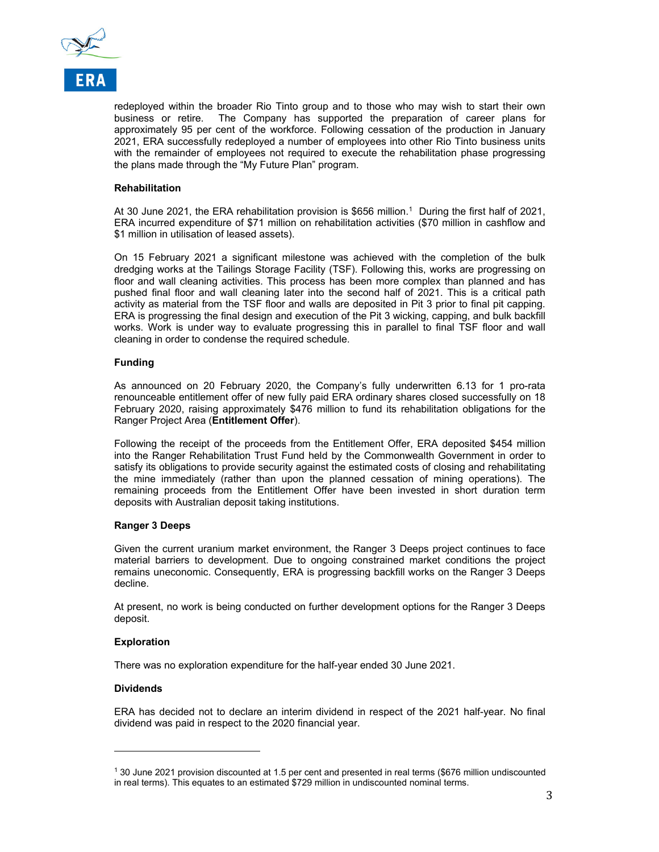

redeployed within the broader Rio Tinto group and to those who may wish to start their own business or retire. The Company has supported the preparation of career plans for approximately 95 per cent of the workforce. Following cessation of the production in January 2021, ERA successfully redeployed a number of employees into other Rio Tinto business units with the remainder of employees not required to execute the rehabilitation phase progressing the plans made through the "My Future Plan" program.

#### **Rehabilitation**

At 30 June 2021, the ERA rehabilitation provision is \$656 million.<sup>1</sup> During the first half of 2021, ERA incurred expenditure of \$71 million on rehabilitation activities (\$70 million in cashflow and \$1 million in utilisation of leased assets).

On 15 February 2021 a significant milestone was achieved with the completion of the bulk dredging works at the Tailings Storage Facility (TSF). Following this, works are progressing on floor and wall cleaning activities. This process has been more complex than planned and has pushed final floor and wall cleaning later into the second half of 2021. This is a critical path activity as material from the TSF floor and walls are deposited in Pit 3 prior to final pit capping. ERA is progressing the final design and execution of the Pit 3 wicking, capping, and bulk backfill works. Work is under way to evaluate progressing this in parallel to final TSF floor and wall cleaning in order to condense the required schedule.

#### **Funding**

As announced on 20 February 2020, the Company's fully underwritten 6.13 for 1 pro-rata renounceable entitlement offer of new fully paid ERA ordinary shares closed successfully on 18 February 2020, raising approximately \$476 million to fund its rehabilitation obligations for the Ranger Project Area (**Entitlement Offer**).

Following the receipt of the proceeds from the Entitlement Offer, ERA deposited \$454 million into the Ranger Rehabilitation Trust Fund held by the Commonwealth Government in order to satisfy its obligations to provide security against the estimated costs of closing and rehabilitating the mine immediately (rather than upon the planned cessation of mining operations). The remaining proceeds from the Entitlement Offer have been invested in short duration term deposits with Australian deposit taking institutions.

#### **Ranger 3 Deeps**

Given the current uranium market environment, the Ranger 3 Deeps project continues to face material barriers to development. Due to ongoing constrained market conditions the project remains uneconomic. Consequently, ERA is progressing backfill works on the Ranger 3 Deeps decline.

At present, no work is being conducted on further development options for the Ranger 3 Deeps deposit.

#### **Exploration**

There was no exploration expenditure for the half-year ended 30 June 2021.

#### **Dividends**

l

ERA has decided not to declare an interim dividend in respect of the 2021 half-year. No final dividend was paid in respect to the 2020 financial year.

<sup>1 30</sup> June 2021 provision discounted at 1.5 per cent and presented in real terms (\$676 million undiscounted in real terms). This equates to an estimated \$729 million in undiscounted nominal terms.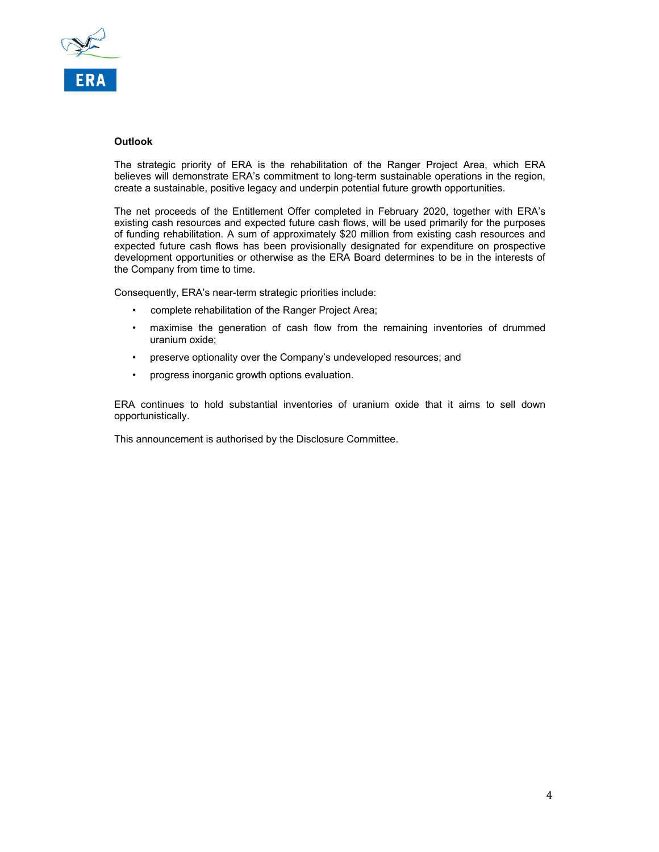

#### **Outlook**

The strategic priority of ERA is the rehabilitation of the Ranger Project Area, which ERA believes will demonstrate ERA's commitment to long-term sustainable operations in the region, create a sustainable, positive legacy and underpin potential future growth opportunities.

The net proceeds of the Entitlement Offer completed in February 2020, together with ERA's existing cash resources and expected future cash flows, will be used primarily for the purposes of funding rehabilitation. A sum of approximately \$20 million from existing cash resources and expected future cash flows has been provisionally designated for expenditure on prospective development opportunities or otherwise as the ERA Board determines to be in the interests of the Company from time to time.

Consequently, ERA's near-term strategic priorities include:

- complete rehabilitation of the Ranger Project Area;
- maximise the generation of cash flow from the remaining inventories of drummed uranium oxide;
- preserve optionality over the Company's undeveloped resources; and
- progress inorganic growth options evaluation.

ERA continues to hold substantial inventories of uranium oxide that it aims to sell down opportunistically.

This announcement is authorised by the Disclosure Committee.